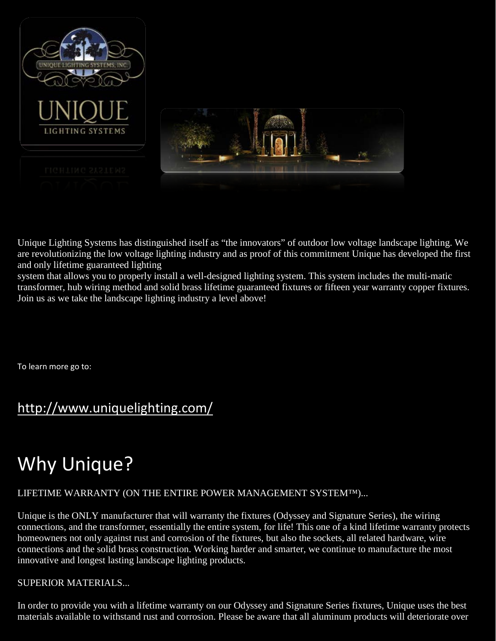

Unique Lighting Systems has distinguished itself as "the innovators" of outdoor low voltage landscape lighting. We are revolutionizing the low voltage lighting industry and as proof of this commitment Unique has developed the first and only lifetime guaranteed lighting

system that allows you to properly install a well-designed lighting system. This system includes the multi-matic transformer, hub wiring method and solid brass lifetime guaranteed fixtures or fifteen year warranty copper fixtures. Join us as we take the landscape lighting industry a level above!

To learn more go to:

# <http://www.uniquelighting.com/>

# Why Unique?

# LIFETIME WARRANTY (ON THE ENTIRE POWER MANAGEMENT SYSTEM™)...

Unique is the ONLY manufacturer that will warranty the fixtures (Odyssey and Signature Series), the wiring connections, and the transformer, essentially the entire system, for life! This one of a kind lifetime warranty protects homeowners not only against rust and corrosion of the fixtures, but also the sockets, all related hardware, wire connections and the solid brass construction. Working harder and smarter, we continue to manufacture the most innovative and longest lasting landscape lighting products.

# SUPERIOR MATERIALS...

In order to provide you with a lifetime warranty on our Odyssey and Signature Series fixtures, Unique uses the best materials available to withstand rust and corrosion. Please be aware that all aluminum products will deteriorate over